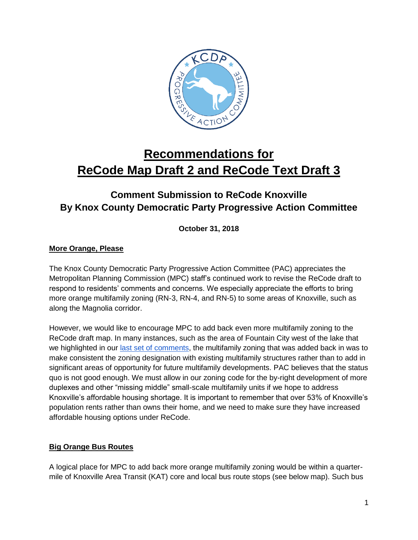

# **Recommendations for ReCode Map Draft 2 and ReCode Text Draft 3**

# **Comment Submission to ReCode Knoxville By Knox County Democratic Party Progressive Action Committee**

**October 31, 2018**

## **More Orange, Please**

The Knox County Democratic Party Progressive Action Committee (PAC) appreciates the Metropolitan Planning Commission (MPC) staff's continued work to revise the ReCode draft to respond to residents' comments and concerns. We especially appreciate the efforts to bring more orange multifamily zoning (RN-3, RN-4, and RN-5) to some areas of Knoxville, such as along the Magnolia corridor.

However, we would like to encourage MPC to add back even more multifamily zoning to the ReCode draft map. In many instances, such as the area of Fountain City west of the lake that we highlighted in our [last set of comments,](https://www.facebook.com/notes/knoxville-progressive-action-committee/kcdp-pac-recommendations-for-recode-map-draft-1-and-recode-text-draft-2/1118974764942876/) the multifamily zoning that was added back in was to make consistent the zoning designation with existing multifamily structures rather than to add in significant areas of opportunity for future multifamily developments. PAC believes that the status quo is not good enough. We must allow in our zoning code for the by-right development of more duplexes and other "missing middle" small-scale multifamily units if we hope to address Knoxville's affordable housing shortage. It is important to remember that over 53% of Knoxville's population rents rather than owns their home, and we need to make sure they have increased affordable housing options under ReCode.

#### **Big Orange Bus Routes**

A logical place for MPC to add back more orange multifamily zoning would be within a quartermile of Knoxville Area Transit (KAT) core and local bus route stops (see below map). Such bus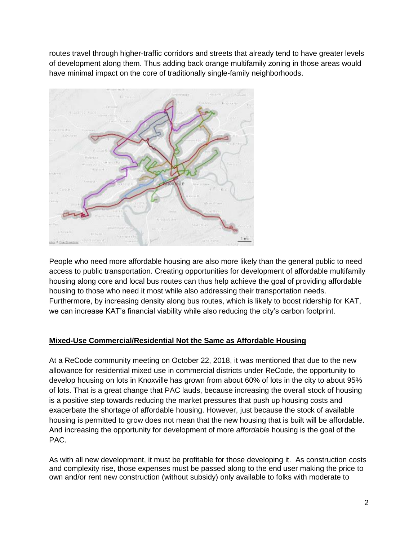routes travel through higher-traffic corridors and streets that already tend to have greater levels of development along them. Thus adding back orange multifamily zoning in those areas would have minimal impact on the core of traditionally single-family neighborhoods.



People who need more affordable housing are also more likely than the general public to need access to public transportation. Creating opportunities for development of affordable multifamily housing along core and local bus routes can thus help achieve the goal of providing affordable housing to those who need it most while also addressing their transportation needs. Furthermore, by increasing density along bus routes, which is likely to boost ridership for KAT, we can increase KAT's financial viability while also reducing the city's carbon footprint.

#### **Mixed-Use Commercial/Residential Not the Same as Affordable Housing**

At a ReCode community meeting on October 22, 2018, it was mentioned that due to the new allowance for residential mixed use in commercial districts under ReCode, the opportunity to develop housing on lots in Knoxville has grown from about 60% of lots in the city to about 95% of lots. That is a great change that PAC lauds, because increasing the overall stock of housing is a positive step towards reducing the market pressures that push up housing costs and exacerbate the shortage of affordable housing. However, just because the stock of available housing is permitted to grow does not mean that the new housing that is built will be affordable. And increasing the opportunity for development of more *affordable* housing is the goal of the PAC.

As with all new development, it must be profitable for those developing it. As construction costs and complexity rise, those expenses must be passed along to the end user making the price to own and/or rent new construction (without subsidy) only available to folks with moderate to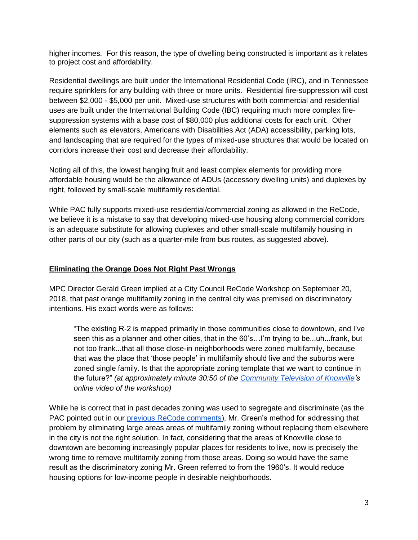higher incomes. For this reason, the type of dwelling being constructed is important as it relates to project cost and affordability.

Residential dwellings are built under the International Residential Code (IRC), and in Tennessee require sprinklers for any building with three or more units. Residential fire-suppression will cost between \$2,000 - \$5,000 per unit. Mixed-use structures with both commercial and residential uses are built under the International Building Code (IBC) requiring much more complex firesuppression systems with a base cost of \$80,000 plus additional costs for each unit. Other elements such as elevators, Americans with Disabilities Act (ADA) accessibility, parking lots, and landscaping that are required for the types of mixed-use structures that would be located on corridors increase their cost and decrease their affordability.

Noting all of this, the lowest hanging fruit and least complex elements for providing more affordable housing would be the allowance of ADUs (accessory dwelling units) and duplexes by right, followed by small-scale multifamily residential.

While PAC fully supports mixed-use residential/commercial zoning as allowed in the ReCode, we believe it is a mistake to say that developing mixed-use housing along commercial corridors is an adequate substitute for allowing duplexes and other small-scale multifamily housing in other parts of our city (such as a quarter-mile from bus routes, as suggested above).

### **Eliminating the Orange Does Not Right Past Wrongs**

MPC Director Gerald Green implied at a City Council ReCode Workshop on September 20, 2018, that past orange multifamily zoning in the central city was premised on discriminatory intentions. His exact words were as follows:

"The existing R-2 is mapped primarily in those communities close to downtown, and I've seen this as a planner and other cities, that in the 60's…I'm trying to be...uh...frank, but not too frank...that all those close-in neighborhoods were zoned multifamily, because that was the place that 'those people' in multifamily should live and the suburbs were zoned single family. Is that the appropriate zoning template that we want to continue in the future?" *(at approximately minute 30:50 of the [Community Television of Knoxville's](http://www.ctvknox.org/) online video of the workshop)*

While he is correct that in past decades zoning was used to segregate and discriminate (as the PAC pointed out in our [previous ReCode comments\)](https://www.facebook.com/notes/knoxville-progressive-action-committee/progressive-ideals-and-recommendations-for-recode-knoxville/961917350648619/), Mr. Green's method for addressing that problem by eliminating large areas areas of multifamily zoning without replacing them elsewhere in the city is not the right solution. In fact, considering that the areas of Knoxville close to downtown are becoming increasingly popular places for residents to live, now is precisely the wrong time to remove multifamily zoning from those areas. Doing so would have the same result as the discriminatory zoning Mr. Green referred to from the 1960's. It would reduce housing options for low-income people in desirable neighborhoods.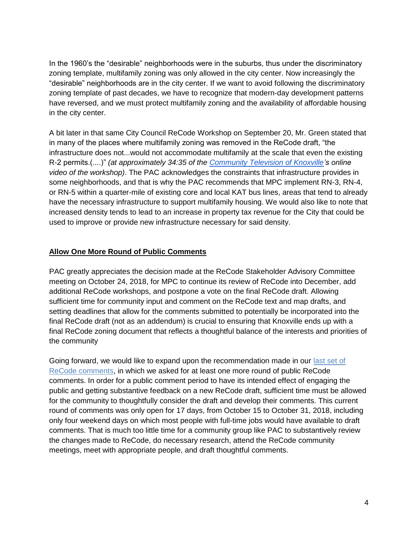In the 1960's the "desirable" neighborhoods were in the suburbs, thus under the discriminatory zoning template, multifamily zoning was only allowed in the city center. Now increasingly the "desirable" neighborhoods are in the city center. If we want to avoid following the discriminatory zoning template of past decades, we have to recognize that modern-day development patterns have reversed, and we must protect multifamily zoning and the availability of affordable housing in the city center.

A bit later in that same City Council ReCode Workshop on September 20, Mr. Green stated that in many of the places where multifamily zoning was removed in the ReCode draft, "the infrastructure does not...would not accommodate multifamily at the scale that even the existing R-2 permits.(....)" *(at approximately 34:35 of the [Community Television of Knoxville's](http://www.ctvknox.org/) online video of the workshop)*. The PAC acknowledges the constraints that infrastructure provides in some neighborhoods, and that is why the PAC recommends that MPC implement RN-3, RN-4, or RN-5 within a quarter-mile of existing core and local KAT bus lines, areas that tend to already have the necessary infrastructure to support multifamily housing. We would also like to note that increased density tends to lead to an increase in property tax revenue for the City that could be used to improve or provide new infrastructure necessary for said density.

#### **Allow One More Round of Public Comments**

PAC greatly appreciates the decision made at the ReCode Stakeholder Advisory Committee meeting on October 24, 2018, for MPC to continue its review of ReCode into December, add additional ReCode workshops, and postpone a vote on the final ReCode draft. Allowing sufficient time for community input and comment on the ReCode text and map drafts, and setting deadlines that allow for the comments submitted to potentially be incorporated into the final ReCode draft (not as an addendum) is crucial to ensuring that Knoxville ends up with a final ReCode zoning document that reflects a thoughtful balance of the interests and priorities of the community

Going forward, we would like to expand upon the recommendation made in our [last set of](https://www.facebook.com/notes/knoxville-progressive-action-committee/kcdp-pac-recommendations-for-recode-map-draft-1-and-recode-text-draft-2/1118974764942876/)  ReCode [comments,](https://www.facebook.com/notes/knoxville-progressive-action-committee/kcdp-pac-recommendations-for-recode-map-draft-1-and-recode-text-draft-2/1118974764942876/) in which we asked for at least one more round of public ReCode comments. In order for a public comment period to have its intended effect of engaging the public and getting substantive feedback on a new ReCode draft, sufficient time must be allowed for the community to thoughtfully consider the draft and develop their comments. This current round of comments was only open for 17 days, from October 15 to October 31, 2018, including only four weekend days on which most people with full-time jobs would have available to draft comments. That is much too little time for a community group like PAC to substantively review the changes made to ReCode, do necessary research, attend the ReCode community meetings, meet with appropriate people, and draft thoughtful comments.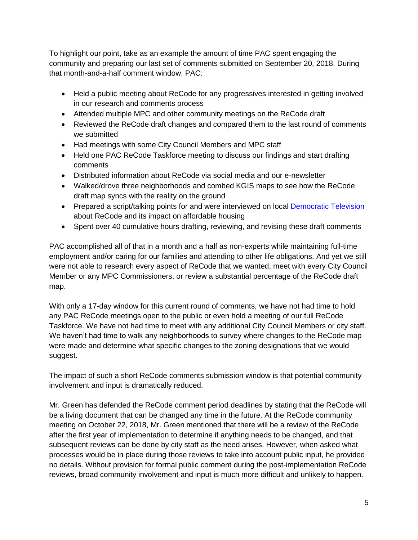To highlight our point, take as an example the amount of time PAC spent engaging the community and preparing our last set of comments submitted on September 20, 2018. During that month-and-a-half comment window, PAC:

- Held a public meeting about ReCode for any progressives interested in getting involved in our research and comments process
- Attended multiple MPC and other community meetings on the ReCode draft
- Reviewed the ReCode draft changes and compared them to the last round of comments we submitted
- Had meetings with some City Council Members and MPC staff
- Held one PAC ReCode Taskforce meeting to discuss our findings and start drafting comments
- Distributed information about ReCode via social media and our e-newsletter
- Walked/drove three neighborhoods and combed KGIS maps to see how the ReCode draft map syncs with the reality on the ground
- Prepared a script/talking points for and were interviewed on local [Democratic Television](https://www.youtube.com/watch?v=EJfh7_Y_TsM) about ReCode and its impact on affordable housing
- Spent over 40 cumulative hours drafting, reviewing, and revising these draft comments

PAC accomplished all of that in a month and a half as non-experts while maintaining full-time employment and/or caring for our families and attending to other life obligations. And yet we still were not able to research every aspect of ReCode that we wanted, meet with every City Council Member or any MPC Commissioners, or review a substantial percentage of the ReCode draft map.

With only a 17-day window for this current round of comments, we have not had time to hold any PAC ReCode meetings open to the public or even hold a meeting of our full ReCode Taskforce. We have not had time to meet with any additional City Council Members or city staff. We haven't had time to walk any neighborhoods to survey where changes to the ReCode map were made and determine what specific changes to the zoning designations that we would suggest.

The impact of such a short ReCode comments submission window is that potential community involvement and input is dramatically reduced.

Mr. Green has defended the ReCode comment period deadlines by stating that the ReCode will be a living document that can be changed any time in the future. At the ReCode community meeting on October 22, 2018, Mr. Green mentioned that there will be a review of the ReCode after the first year of implementation to determine if anything needs to be changed, and that subsequent reviews can be done by city staff as the need arises. However, when asked what processes would be in place during those reviews to take into account public input, he provided no details. Without provision for formal public comment during the post-implementation ReCode reviews, broad community involvement and input is much more difficult and unlikely to happen.